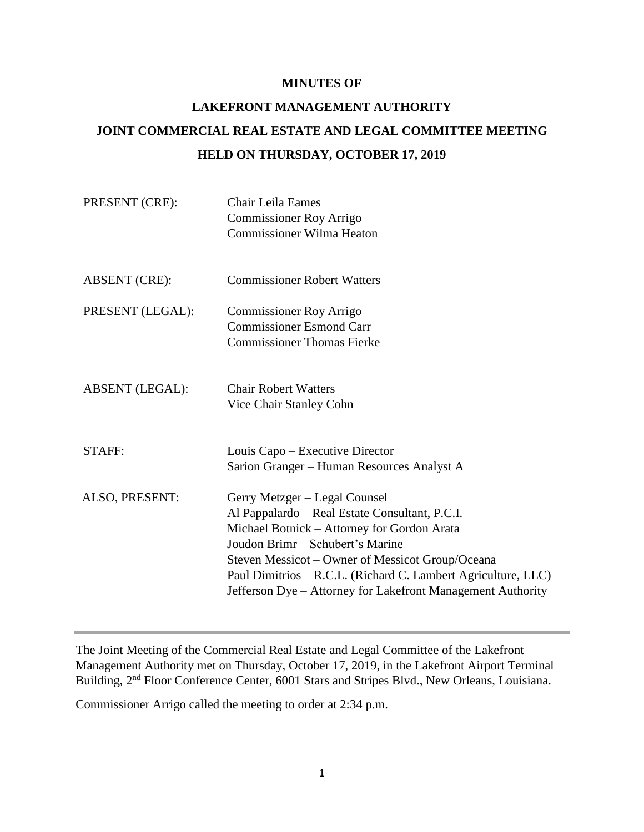#### **MINUTES OF**

# **LAKEFRONT MANAGEMENT AUTHORITY JOINT COMMERCIAL REAL ESTATE AND LEGAL COMMITTEE MEETING HELD ON THURSDAY, OCTOBER 17, 2019**

| PRESENT (CRE):         | Chair Leila Eames<br><b>Commissioner Roy Arrigo</b><br><b>Commissioner Wilma Heaton</b>                                                                                                                                                                                                                                                                |
|------------------------|--------------------------------------------------------------------------------------------------------------------------------------------------------------------------------------------------------------------------------------------------------------------------------------------------------------------------------------------------------|
| <b>ABSENT</b> (CRE):   | <b>Commissioner Robert Watters</b>                                                                                                                                                                                                                                                                                                                     |
| PRESENT (LEGAL):       | <b>Commissioner Roy Arrigo</b><br><b>Commissioner Esmond Carr</b><br><b>Commissioner Thomas Fierke</b>                                                                                                                                                                                                                                                 |
| <b>ABSENT</b> (LEGAL): | <b>Chair Robert Watters</b><br>Vice Chair Stanley Cohn                                                                                                                                                                                                                                                                                                 |
| STAFF:                 | Louis Capo – Executive Director<br>Sarion Granger – Human Resources Analyst A                                                                                                                                                                                                                                                                          |
| ALSO, PRESENT:         | Gerry Metzger - Legal Counsel<br>Al Pappalardo - Real Estate Consultant, P.C.I.<br>Michael Botnick - Attorney for Gordon Arata<br>Joudon Brimr – Schubert's Marine<br>Steven Messicot – Owner of Messicot Group/Oceana<br>Paul Dimitrios - R.C.L. (Richard C. Lambert Agriculture, LLC)<br>Jefferson Dye - Attorney for Lakefront Management Authority |

The Joint Meeting of the Commercial Real Estate and Legal Committee of the Lakefront Management Authority met on Thursday, October 17, 2019, in the Lakefront Airport Terminal Building, 2<sup>nd</sup> Floor Conference Center, 6001 Stars and Stripes Blvd., New Orleans, Louisiana.

Commissioner Arrigo called the meeting to order at 2:34 p.m.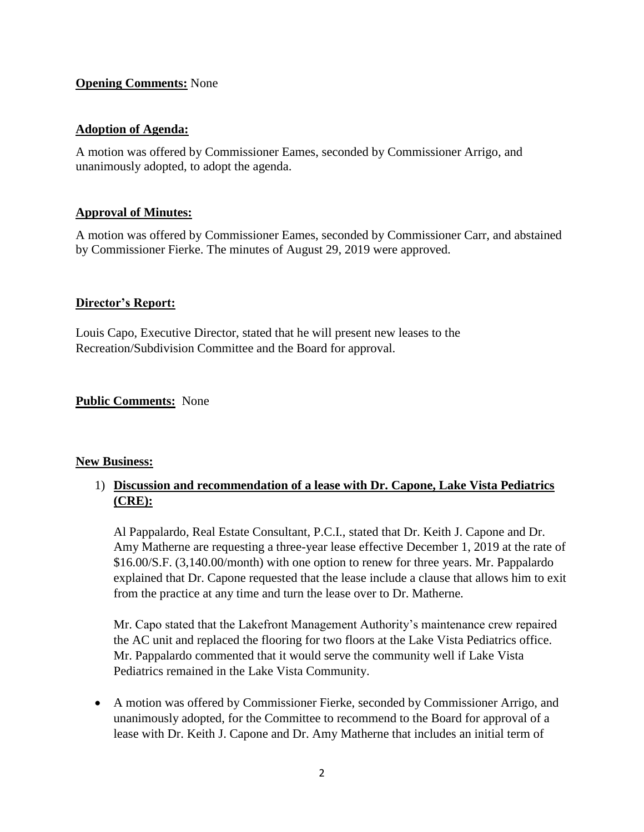#### **Opening Comments:** None

#### **Adoption of Agenda:**

A motion was offered by Commissioner Eames, seconded by Commissioner Arrigo, and unanimously adopted, to adopt the agenda.

#### **Approval of Minutes:**

A motion was offered by Commissioner Eames, seconded by Commissioner Carr, and abstained by Commissioner Fierke. The minutes of August 29, 2019 were approved.

#### **Director's Report:**

Louis Capo, Executive Director, stated that he will present new leases to the Recreation/Subdivision Committee and the Board for approval.

**Public Comments:** None

#### **New Business:**

## 1) **Discussion and recommendation of a lease with Dr. Capone, Lake Vista Pediatrics (CRE):**

Al Pappalardo, Real Estate Consultant, P.C.I., stated that Dr. Keith J. Capone and Dr. Amy Matherne are requesting a three-year lease effective December 1, 2019 at the rate of \$16.00/S.F. (3,140.00/month) with one option to renew for three years. Mr. Pappalardo explained that Dr. Capone requested that the lease include a clause that allows him to exit from the practice at any time and turn the lease over to Dr. Matherne.

Mr. Capo stated that the Lakefront Management Authority's maintenance crew repaired the AC unit and replaced the flooring for two floors at the Lake Vista Pediatrics office. Mr. Pappalardo commented that it would serve the community well if Lake Vista Pediatrics remained in the Lake Vista Community.

• A motion was offered by Commissioner Fierke, seconded by Commissioner Arrigo, and unanimously adopted, for the Committee to recommend to the Board for approval of a lease with Dr. Keith J. Capone and Dr. Amy Matherne that includes an initial term of